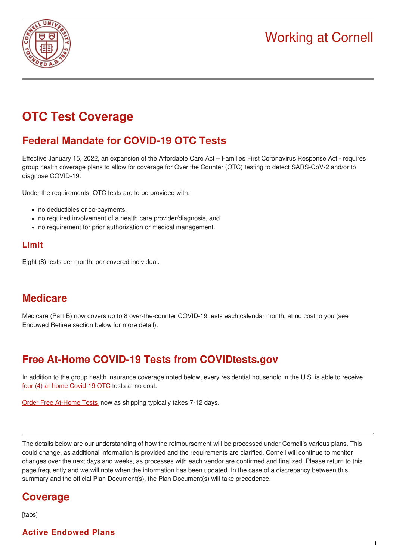# Working at Cornell



# **OTC Test Coverage**

## **Federal Mandate for COVID-19 OTC Tests**

Effective January 15, 2022, an expansion of the Affordable Care Act – Families First Coronavirus Response Act - requires group health coverage plans to allow for coverage for Over the Counter (OTC) testing to detect SARS-CoV-2 and/or to diagnose COVID-19.

Under the requirements, OTC tests are to be provided with:

- no deductibles or co-payments,
- no required involvement of a health care provider/diagnosis, and
- no requirement for prior authorization or medical management.

## **Limit**

Eight (8) tests per month, per covered individual.

## **Medicare**

Medicare (Part B) now covers up to 8 over-the-counter COVID-19 tests each calendar month, at no cost to you (see Endowed Retiree section below for more detail).

## **Free At-Home COVID-19 Tests from COVIDtests.gov**

In addition to the group health insurance coverage noted below, every residential household in the U.S. is able to receive four (4) at-home [Covid-19](https://www.covidtests.gov/) OTC tests at no cost.

Order Free [At-Home](https://special.usps.com/testkits) Tests now as shipping typically takes 7-12 days.

The details below are our understanding of how the reimbursement will be processed under Cornell's various plans. This could change, as additional information is provided and the requirements are clarified. Cornell will continue to monitor changes over the next days and weeks, as processes with each vendor are confirmed and finalized. Please return to this page frequently and we will note when the information has been updated. In the case of a discrepancy between this summary and the official Plan Document(s), the Plan Document(s) will take precedence.

## **Coverage**

[tabs]

### **Active Endowed Plans**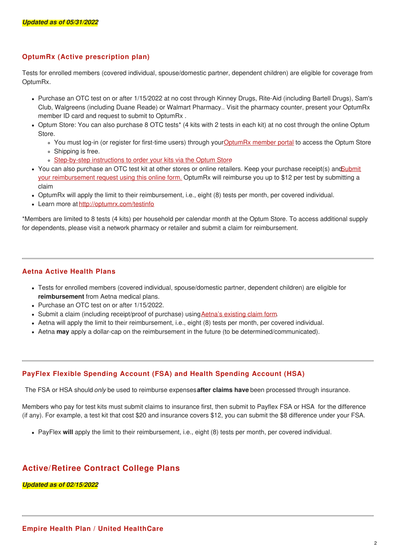#### **OptumRx (Active prescription plan)**

Tests for enrolled members (covered individual, spouse/domestic partner, dependent children) are eligible for coverage from OptumRx.

- Purchase an OTC test on or after 1/15/2022 at no cost through Kinney Drugs, Rite-Aid (including Bartell Drugs), Sam's Club, Walgreens (including Duane Reade) or Walmart Pharmacy.. Visit the pharmacy counter, present your OptumRx member ID card and request to submit to OptumRx .
- Optum Store: You can also purchase 8 OTC tests\* (4 kits with 2 tests in each kit) at no cost through the online Optum Store.
	- You must log-in (or register for first-time users) through you[rOptumRx](https://www.optumrx.com/public/landing) member portal to access the Optum Store
	- Shipping is free.
	- [Step-by-step](https://hr.cornell.edu/sites/default/files/documents/optum_store_test_kit_solution_2022.pdf) instructions to order your kits via the Optum Store
- You can also purchase an OTC test kit at other stores or online retailers. Keep your purchase receipt(s) ano Submit your [reimbursement](https://covidtest.optumrx.com/covid-test-reimbursement) request using this online form. OptumRx will reimburse you up to \$12 per test by submitting a claim
- OptumRx will apply the limit to their reimbursement, i.e., eight (8) tests per month, per covered individual.
- Learn more at <http://optumrx.com/testinfo>

\*Members are limited to 8 tests (4 kits) per household per calendar month at the Optum Store. To access additional supply for dependents, please visit a network pharmacy or retailer and submit a claim for reimbursement.

#### **Aetna Active Health Plans**

- Tests for enrolled members (covered individual, spouse/domestic partner, dependent children) are eligible for **reimbursement** from Aetna medical plans.
- Purchase an OTC test on or after 1/15/2022.
- Submit a claim (including receipt/proof of purchase) using Aetna's [existing](https://www.aetna.com/document-library/individuals-families-health-insurance/document-library/medical-claim-form.pdf) claim form.
- Aetna will apply the limit to their reimbursement, i.e., eight (8) tests per month, per covered individual.
- Aetna **may** apply a dollar-cap on the reimbursement in the future (to be determined/communicated).

#### **PayFlex Flexible Spending Account (FSA) and Health Spending Account (HSA)**

The FSA or HSA should *only* be used to reimburse expenses**after claims have** been processed through insurance.

Members who pay for test kits must submit claims to insurance first, then submit to Payflex FSA or HSA for the difference (if any). For example, a test kit that cost \$20 and insurance covers \$12, you can submit the \$8 difference under your FSA.

PayFlex **will** apply the limit to their reimbursement, i.e., eight (8) tests per month, per covered individual.

### **Active/Retiree Contract College Plans**

#### *Updated as of 02/15/2022*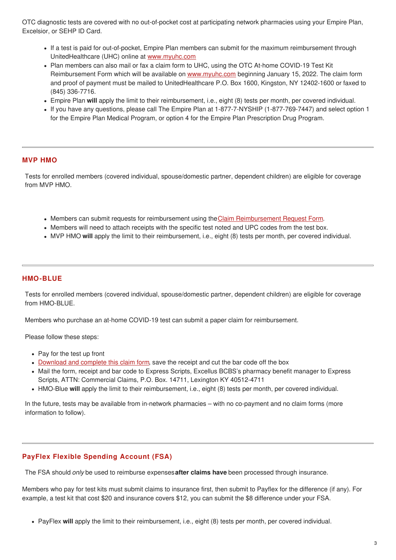OTC diagnostic tests are covered with no out-of-pocket cost at participating network pharmacies using your Empire Plan, Excelsior, or SEHP ID Card.

- If a test is paid for out-of-pocket, Empire Plan members can submit for the maximum reimbursement through UnitedHealthcare (UHC) online at [www.myuhc.com](http://www.myuhc.com)
- Plan members can also mail or fax a claim form to UHC, using the OTC At-home COVID-19 Test Kit Reimbursement Form which will be available on [www.myuhc.com](http://www.myuhc.com) beginning January 15, 2022. The claim form and proof of payment must be mailed to UnitedHealthcare P.O. Box 1600, Kingston, NY 12402-1600 or faxed to (845) 336-7716.
- Empire Plan **will** apply the limit to their reimbursement, i.e., eight (8) tests per month, per covered individual.
- If you have any questions, please call The Empire Plan at 1-877-7-NYSHIP (1-877-769-7447) and select option 1 for the Empire Plan Medical Program, or option 4 for the Empire Plan Prescription Drug Program.

#### **MVP HMO**

Tests for enrolled members (covered individual, spouse/domestic partner, dependent children) are eligible for coverage from MVP HMO.

- Members can submit requests for reimbursement using the Claim [Reimbursement](https://www.mvphealthcare.com/wp-content/uploads/download-manager-files/claim-reimbursement-form.pdf) Request Form.
- Members will need to attach receipts with the specific test noted and UPC codes from the test box.
- MVP HMO **will** apply the limit to their reimbursement, i.e., eight (8) tests per month, per covered individual.

#### **HMO-BLUE**

Tests for enrolled members (covered individual, spouse/domestic partner, dependent children) are eligible for coverage from HMO-BLUE.

Members who purchase an at-home COVID-19 test can submit a paper claim for reimbursement.

Please follow these steps:

- Pay for the test up front
- [Download](https://member.excellusbcbs.com/documents/20152/127199/Prescription+Drug+Claim+Form.pdf/e20d8b32-a861-95b4-56a1-8ea66823b686?t=1587038597316) and complete this claim form, save the receipt and cut the bar code off the box
- Mail the form, receipt and bar code to Express Scripts, Excellus BCBS's pharmacy benefit manager to Express Scripts, ATTN: Commercial Claims, P.O. Box. 14711, Lexington KY 40512-4711
- HMO-Blue **will** apply the limit to their reimbursement, i.e., eight (8) tests per month, per covered individual.

In the future, tests may be available from in-network pharmacies – with no co-payment and no claim forms (more information to follow).

#### **PayFlex Flexible Spending Account (FSA)**

The FSA should *only* be used to reimburse expenses**after claims have** been processed through insurance.

Members who pay for test kits must submit claims to insurance first, then submit to Payflex for the difference (if any). For example, a test kit that cost \$20 and insurance covers \$12, you can submit the \$8 difference under your FSA.

PayFlex **will** apply the limit to their reimbursement, i.e., eight (8) tests per month, per covered individual.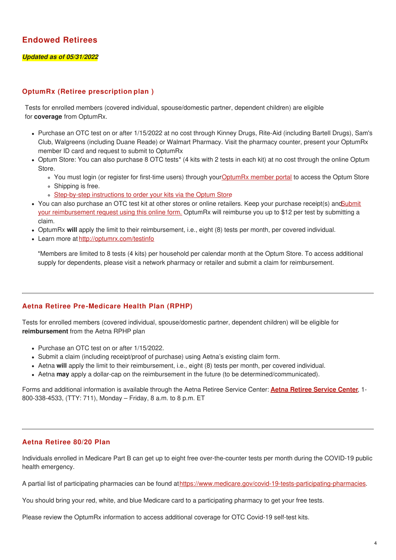## **Endowed Retirees**

#### *Updated as of 05/31/2022*

#### **OptumRx (Retiree prescription plan )**

Tests for enrolled members (covered individual, spouse/domestic partner, dependent children) are eligible for **coverage** from OptumRx.

- Purchase an OTC test on or after 1/15/2022 at no cost through Kinney Drugs, Rite-Aid (including Bartell Drugs), Sam's Club, Walgreens (including Duane Reade) or Walmart Pharmacy. Visit the pharmacy counter, present your OptumRx member ID card and request to submit to OptumRx
- Optum Store: You can also purchase 8 OTC tests\* (4 kits with 2 tests in each kit) at no cost through the online Optum Store.
	- You must login (or register for first-time users) through your[OptumRx](https://www.optumrx.com/public/landing) member portal to access the Optum Store
	- Shipping is free.
	- o [Step-by-step](https://hr.cornell.edu/sites/default/files/documents/optum_store_test_kit_solution_2022.pdf) instructions to order your kits via the Optum Store
- You can also purchase an OTC test kit at other stores or online retailers. Keep your purchase receipt(s) andSubmit your [reimbursement](https://covidtest.optumrx.com/covid-test-reimbursement) request using this online form. OptumRx will reimburse you up to \$12 per test by submitting a claim.
- OptumRx **will** apply the limit to their reimbursement, i.e., eight (8) tests per month, per covered individual.
- Learn more at <http://optumrx.com/testinfo>

\*Members are limited to 8 tests (4 kits) per household per calendar month at the Optum Store. To access additional supply for dependents, please visit a network pharmacy or retailer and submit a claim for reimbursement.

#### **Aetna Retiree Pre-Medicare Health Plan (RPHP)**

Tests for enrolled members (covered individual, spouse/domestic partner, dependent children) will be eligible for **reimbursement** from the Aetna RPHP plan

- Purchase an OTC test on or after 1/15/2022.
- Submit a claim (including receipt/proof of purchase) using Aetna's existing claim form.
- Aetna **will** apply the limit to their reimbursement, i.e., eight (8) tests per month, per covered individual.
- Aetna **may** apply a dollar-cap on the reimbursement in the future (to be determined/communicated).

Forms and additional information is available through the Aetna Retiree Service Center: **Aetna Retiree [Service](http://www.aetnaretireehealth.com/cornell) Center**, 1- 800-338-4533, (TTY: 711), Monday – Friday, 8 a.m. to 8 p.m. ET

#### **Aetna Retiree 80/20 Plan**

Individuals enrolled in Medicare Part B can get up to eight free over-the-counter tests per month during the COVID-19 public health emergency.

A partial list of participating pharmacies can be found at<https://www.medicare.gov/covid-19-tests-participating-pharmacies>.

You should bring your red, white, and blue Medicare card to a participating pharmacy to get your free tests.

Please review the OptumRx information to access additional coverage for OTC Covid-19 self-test kits.